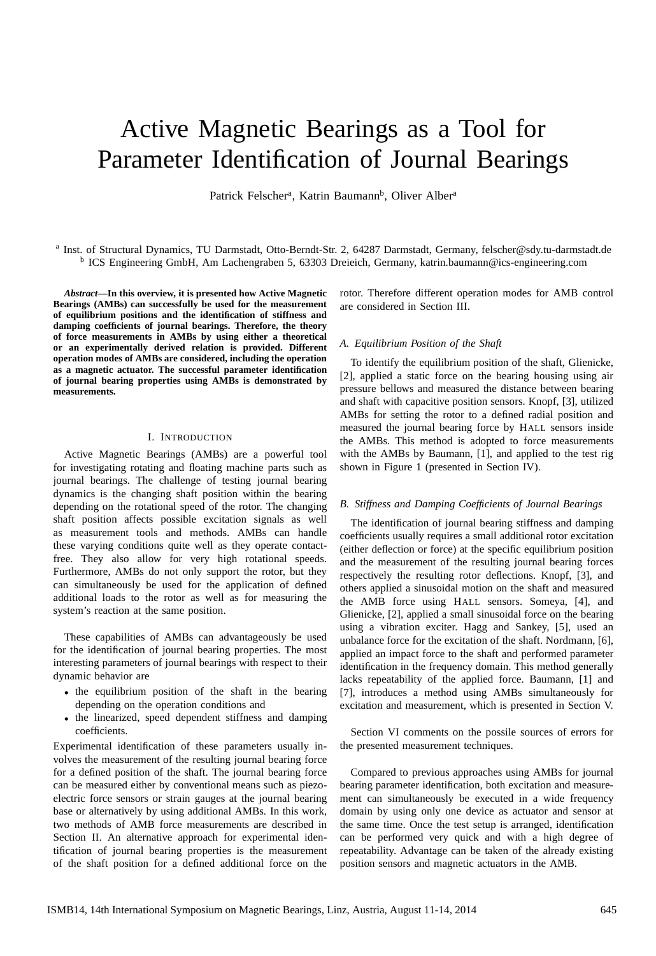# Active Magnetic Bearings as a Tool for Parameter Identification of Journal Bearings

Patrick Felscher<sup>a</sup>, Katrin Baumann<sup>b</sup>, Oliver Alber<sup>a</sup>

a Inst. of Structural Dynamics, TU Darmstadt, Otto-Berndt-Str. 2, 64287 Darmstadt, Germany, felscher@sdy.tu-darmstadt.de <sup>b</sup> ICS Engineering GmbH, Am Lachengraben 5, 63303 Dreieich, Germany, katrin.baumann@ics-engineering.com

*Abstract***—In this overview, it is presented how Active Magnetic Bearings (AMBs) can successfully be used for the measurement of equilibrium positions and the identification of stiffness and damping coefficients of journal bearings. Therefore, the theory of force measurements in AMBs by using either a theoretical or an experimentally derived relation is provided. Different operation modes of AMBs are considered, including the operation as a magnetic actuator. The successful parameter identification of journal bearing properties using AMBs is demonstrated by measurements.**

# I. INTRODUCTION

Active Magnetic Bearings (AMBs) are a powerful tool for investigating rotating and floating machine parts such as journal bearings. The challenge of testing journal bearing dynamics is the changing shaft position within the bearing depending on the rotational speed of the rotor. The changing shaft position affects possible excitation signals as well as measurement tools and methods. AMBs can handle these varying conditions quite well as they operate contactfree. They also allow for very high rotational speeds. Furthermore, AMBs do not only support the rotor, but they can simultaneously be used for the application of defined additional loads to the rotor as well as for measuring the system's reaction at the same position.

These capabilities of AMBs can advantageously be used for the identification of journal bearing properties. The most interesting parameters of journal bearings with respect to their dynamic behavior are

- the equilibrium position of the shaft in the bearing depending on the operation conditions and
- the linearized, speed dependent stiffness and damping coefficients.

Experimental identification of these parameters usually involves the measurement of the resulting journal bearing force for a defined position of the shaft. The journal bearing force can be measured either by conventional means such as piezoelectric force sensors or strain gauges at the journal bearing base or alternatively by using additional AMBs. In this work, two methods of AMB force measurements are described in Section II. An alternative approach for experimental identification of journal bearing properties is the measurement of the shaft position for a defined additional force on the

rotor. Therefore different operation modes for AMB control are considered in Section III.

# *A. Equilibrium Position of the Shaft*

To identify the equilibrium position of the shaft, Glienicke, [2], applied a static force on the bearing housing using air pressure bellows and measured the distance between bearing and shaft with capacitive position sensors. Knopf, [3], utilized AMBs for setting the rotor to a defined radial position and measured the journal bearing force by HALL sensors inside the AMBs. This method is adopted to force measurements with the AMBs by Baumann, [1], and applied to the test rig shown in Figure 1 (presented in Section IV).

# *B. Stiffness and Damping Coefficients of Journal Bearings*

The identification of journal bearing stiffness and damping coefficients usually requires a small additional rotor excitation (either deflection or force) at the specific equilibrium position and the measurement of the resulting journal bearing forces respectively the resulting rotor deflections. Knopf, [3], and others applied a sinusoidal motion on the shaft and measured the AMB force using HALL sensors. Someya, [4], and Glienicke, [2], applied a small sinusoidal force on the bearing using a vibration exciter. Hagg and Sankey, [5], used an unbalance force for the excitation of the shaft. Nordmann, [6], applied an impact force to the shaft and performed parameter identification in the frequency domain. This method generally lacks repeatability of the applied force. Baumann, [1] and [7], introduces a method using AMBs simultaneously for excitation and measurement, which is presented in Section V.

Section VI comments on the possile sources of errors for the presented measurement techniques.

Compared to previous approaches using AMBs for journal bearing parameter identification, both excitation and measurement can simultaneously be executed in a wide frequency domain by using only one device as actuator and sensor at the same time. Once the test setup is arranged, identification can be performed very quick and with a high degree of repeatability. Advantage can be taken of the already existing position sensors and magnetic actuators in the AMB.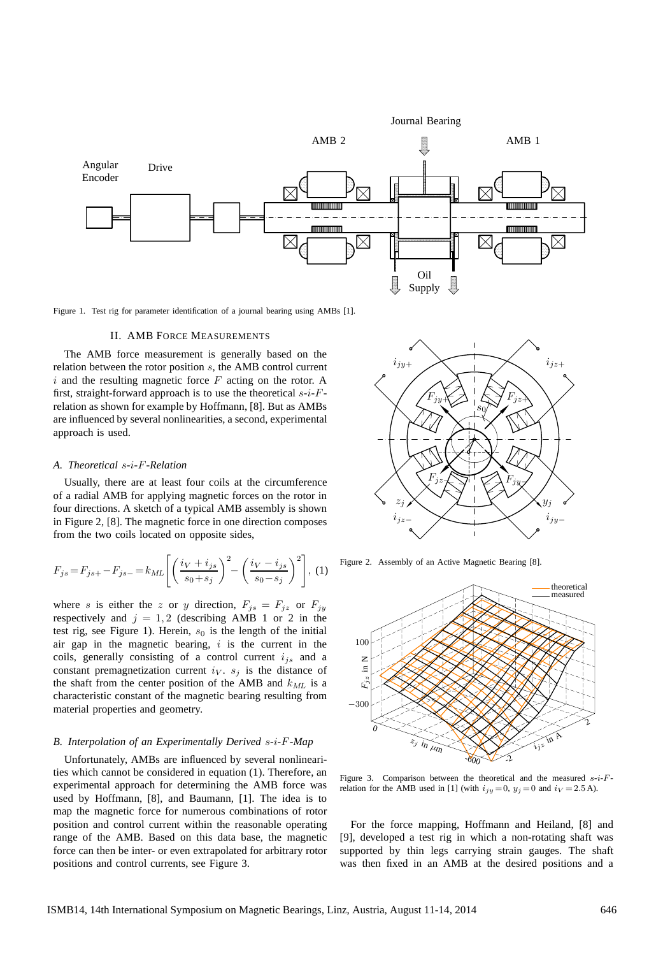

Figure 1. Test rig for parameter identification of a journal bearing using AMBs [1].

#### II. AMB FORCE MEASUREMENTS

The AMB force measurement is generally based on the relation between the rotor position s, the AMB control current  $i$  and the resulting magnetic force  $F$  acting on the rotor. A first, straight-forward approach is to use the theoretical  $s-i-F$ relation as shown for example by Hoffmann, [8]. But as AMBs are influenced by several nonlinearities, a second, experimental approach is used.

#### *A. Theoretical* s*-*i*-*F*-Relation*

Usually, there are at least four coils at the circumference of a radial AMB for applying magnetic forces on the rotor in four directions. A sketch of a typical AMB assembly is shown in Figure 2, [8]. The magnetic force in one direction composes from the two coils located on opposite sides,

$$
F_{js} = F_{js+} - F_{js-} = k_{ML} \left[ \left( \frac{i_V + i_{js}}{s_0 + s_j} \right)^2 - \left( \frac{i_V - i_{js}}{s_0 - s_j} \right)^2 \right], (1)
$$

where s is either the z or y direction,  $F_{j s} = F_{j z}$  or  $F_{j y}$ respectively and  $j = 1, 2$  (describing AMB 1 or 2 in the test rig, see Figure 1). Herein,  $s_0$  is the length of the initial air gap in the magnetic bearing,  $i$  is the current in the coils, generally consisting of a control current  $i_{js}$  and a constant premagnetization current  $i_V$ .  $s_i$  is the distance of the shaft from the center position of the AMB and  $k_{ML}$  is a characteristic constant of the magnetic bearing resulting from material properties and geometry.

# *B. Interpolation of an Experimentally Derived* s*-*i*-*F*-Map*

Unfortunately, AMBs are influenced by several nonlinearities which cannot be considered in equation (1). Therefore, an experimental approach for determining the AMB force was used by Hoffmann, [8], and Baumann, [1]. The idea is to map the magnetic force for numerous combinations of rotor position and control current within the reasonable operating range of the AMB. Based on this data base, the magnetic force can then be inter- or even extrapolated for arbitrary rotor positions and control currents, see Figure 3.



Figure 2. Assembly of an Active Magnetic Bearing [8].



Figure 3. Comparison between the theoretical and the measured  $s-i-F$ relation for the AMB used in [1] (with  $i_{jy} = 0$ ,  $y_j = 0$  and  $i_V = 2.5$  A).

For the force mapping, Hoffmann and Heiland, [8] and [9], developed a test rig in which a non-rotating shaft was supported by thin legs carrying strain gauges. The shaft was then fixed in an AMB at the desired positions and a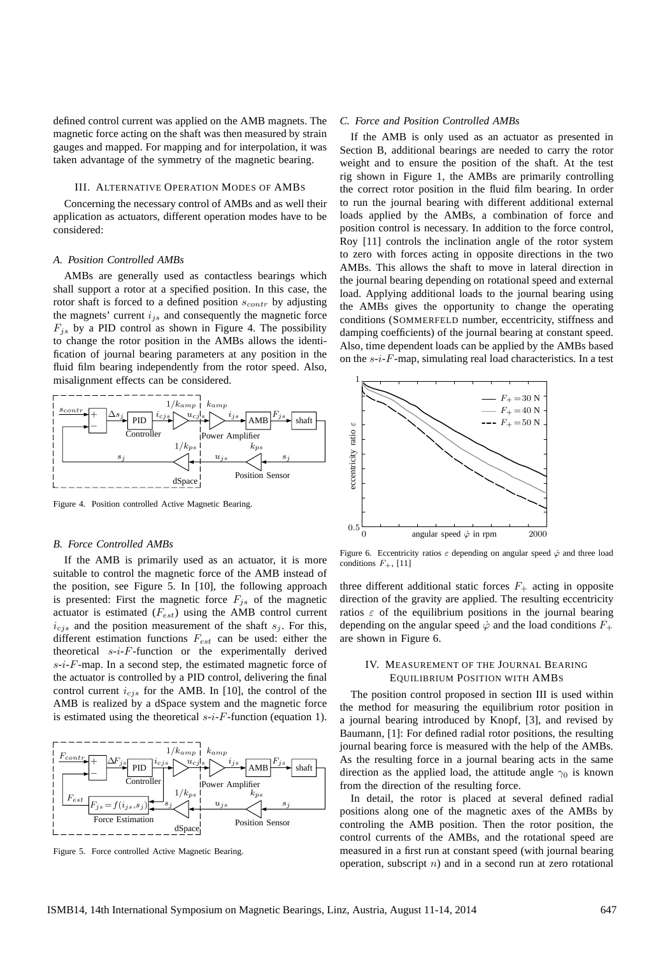defined control current was applied on the AMB magnets. The magnetic force acting on the shaft was then measured by strain gauges and mapped. For mapping and for interpolation, it was taken advantage of the symmetry of the magnetic bearing.

# III. ALTERNATIVE OPERATION MODES OF AMBS

Concerning the necessary control of AMBs and as well their application as actuators, different operation modes have to be considered:

# *A. Position Controlled AMBs*

AMBs are generally used as contactless bearings which shall support a rotor at a specified position. In this case, the rotor shaft is forced to a defined position  $s_{contr}$  by adjusting the magnets' current  $i_{js}$  and consequently the magnetic force  $F_{is}$  by a PID control as shown in Figure 4. The possibility to change the rotor position in the AMBs allows the identification of journal bearing parameters at any position in the fluid film bearing independently from the rotor speed. Also, misalignment effects can be considered.



Figure 4. Position controlled Active Magnetic Bearing.

# *B. Force Controlled AMBs*

If the AMB is primarily used as an actuator, it is more suitable to control the magnetic force of the AMB instead of the position, see Figure 5. In [10], the following approach is presented: First the magnetic force  $F_{js}$  of the magnetic actuator is estimated  $(F_{est})$  using the AMB control current  $i_{cjs}$  and the position measurement of the shaft  $s_j$ . For this, different estimation functions  $F_{est}$  can be used: either the theoretical  $s-i-F$ -function or the experimentally derived  $s-i-F$ -map. In a second step, the estimated magnetic force of the actuator is controlled by a PID control, delivering the final control current  $i_{cjs}$  for the AMB. In [10], the control of the AMB is realized by a dSpace system and the magnetic force is estimated using the theoretical  $s-i$ -F-function (equation 1).



Figure 5. Force controlled Active Magnetic Bearing.

#### *C. Force and Position Controlled AMBs*

If the AMB is only used as an actuator as presented in Section B, additional bearings are needed to carry the rotor weight and to ensure the position of the shaft. At the test rig shown in Figure 1, the AMBs are primarily controlling the correct rotor position in the fluid film bearing. In order to run the journal bearing with different additional external loads applied by the AMBs, a combination of force and position control is necessary. In addition to the force control, Roy [11] controls the inclination angle of the rotor system to zero with forces acting in opposite directions in the two AMBs. This allows the shaft to move in lateral direction in the journal bearing depending on rotational speed and external load. Applying additional loads to the journal bearing using the AMBs gives the opportunity to change the operating conditions (SOMMERFELD number, eccentricity, stiffness and damping coefficients) of the journal bearing at constant speed. Also, time dependent loads can be applied by the AMBs based on the  $s-i-F$ -map, simulating real load characteristics. In a test



Figure 6. Eccentricity ratios  $\varepsilon$  depending on angular speed  $\dot{\varphi}$  and three load conditions  $F_+$ , [11]

three different additional static forces  $F_{+}$  acting in opposite direction of the gravity are applied. The resulting eccentricity ratios  $\varepsilon$  of the equilibrium positions in the journal bearing depending on the angular speed  $\dot{\varphi}$  and the load conditions  $F_{+}$ are shown in Figure 6.

# IV. MEASUREMENT OF THE JOURNAL BEARING EQUILIBRIUM POSITION WITH AMBS

The position control proposed in section III is used within the method for measuring the equilibrium rotor position in a journal bearing introduced by Knopf, [3], and revised by Baumann, [1]: For defined radial rotor positions, the resulting journal bearing force is measured with the help of the AMBs. As the resulting force in a journal bearing acts in the same direction as the applied load, the attitude angle  $\gamma_0$  is known from the direction of the resulting force.

In detail, the rotor is placed at several defined radial positions along one of the magnetic axes of the AMBs by controling the AMB position. Then the rotor position, the control currents of the AMBs, and the rotational speed are measured in a first run at constant speed (with journal bearing operation, subscript  $n$ ) and in a second run at zero rotational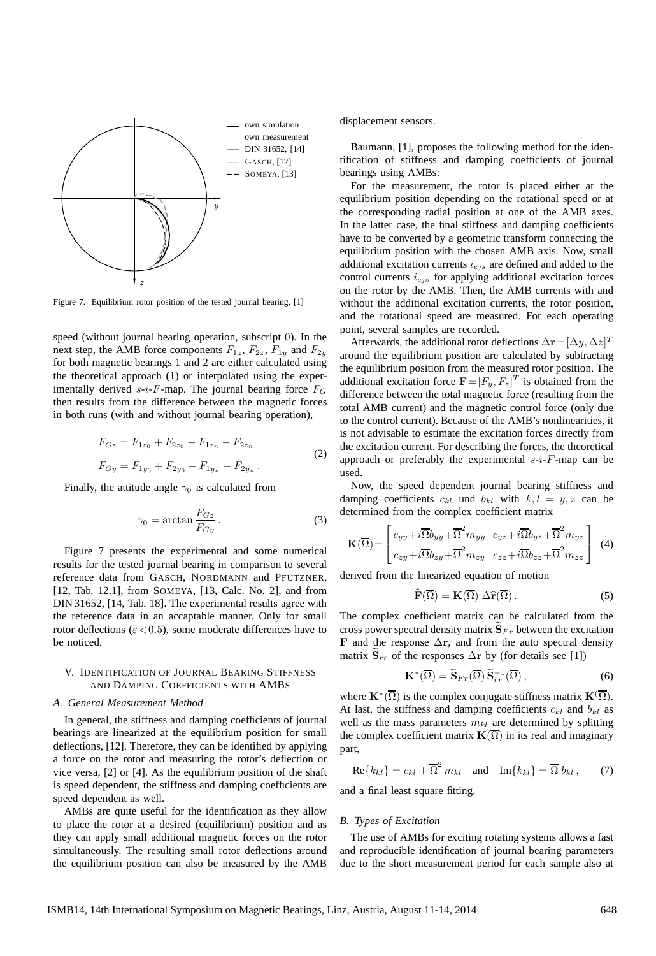

Figure 7. Equilibrium rotor position of the tested journal bearing, [1]

speed (without journal bearing operation, subscript 0). In the next step, the AMB force components  $F_{1z}$ ,  $F_{2z}$ ,  $F_{1y}$  and  $F_{2y}$ for both magnetic bearings 1 and 2 are either calculated using the theoretical approach (1) or interpolated using the experimentally derived s-i-F-map. The journal bearing force  $F_G$ then results from the difference between the magnetic forces in both runs (with and without journal bearing operation),

$$
F_{Gz} = F_{1z_0} + F_{2z_0} - F_{1z_n} - F_{2z_n}
$$
  
\n
$$
F_{Gy} = F_{1y_0} + F_{2y_0} - F_{1y_n} - F_{2y_n}
$$
 (2)

Finally, the attitude angle  $\gamma_0$  is calculated from

$$
\gamma_0 = \arctan \frac{F_{Gz}}{F_{Gy}}.
$$
\n(3)

Figure 7 presents the experimental and some numerical results for the tested journal bearing in comparison to several reference data from GASCH, NORDMANN and PFÜTZNER, [12, Tab. 12.1], from SOMEYA, [13, Calc. No. 2], and from DIN 31652, [14, Tab. 18]. The experimental results agree with the reference data in an accaptable manner. Only for small rotor deflections ( $\varepsilon$  < 0.5), some moderate differences have to be noticed.

# V. IDENTIFICATION OF JOURNAL BEARING STIFFNESS AND DAMPING COEFFICIENTS WITH AMBS

# *A. General Measurement Method*

In general, the stiffness and damping coefficients of journal bearings are linearized at the equilibrium position for small deflections, [12]. Therefore, they can be identified by applying a force on the rotor and measuring the rotor's deflection or vice versa, [2] or [4]. As the equilibrium position of the shaft is speed dependent, the stiffness and damping coefficients are speed dependent as well.

AMBs are quite useful for the identification as they allow to place the rotor at a desired (equilibrium) position and as they can apply small additional magnetic forces on the rotor simultaneously. The resulting small rotor deflections around the equilibrium position can also be measured by the AMB

displacement sensors.

Baumann, [1], proposes the following method for the identification of stiffness and damping coefficients of journal bearings using AMBs:

For the measurement, the rotor is placed either at the equilibrium position depending on the rotational speed or at the corresponding radial position at one of the AMB axes. In the latter case, the final stiffness and damping coefficients have to be converted by a geometric transform connecting the equilibrium position with the chosen AMB axis. Now, small additional excitation currents  $i_{ejs}$  are defined and added to the control currents  $i_{cjs}$  for applying additional excitation forces on the rotor by the AMB. Then, the AMB currents with and without the additional excitation currents, the rotor position, and the rotational speed are measured. For each operating point, several samples are recorded.

Afterwards, the additional rotor deflections  $\Delta \mathbf{r} = [\Delta y, \Delta z]^T$ around the equilibrium position are calculated by subtracting the equilibrium position from the measured rotor position. The additional excitation force  $\mathbf{F} = [F_y, F_z]^T$  is obtained from the difference between the total magnetic force (resulting from the total AMB current) and the magnetic control force (only due to the control current). Because of the AMB's nonlinearities, it is not advisable to estimate the excitation forces directly from the excitation current. For describing the forces, the theoretical approach or preferably the experimental  $s-i$ -F-map can be used.

Now, the speed dependent journal bearing stiffness and damping coefficients  $c_{kl}$  und  $b_{kl}$  with  $k, l = y, z$  can be determined from the complex coefficient matrix

$$
\mathbf{K}(\overline{\Omega}) = \begin{bmatrix} c_{yy} + i\overline{\Omega}b_{yy} + \overline{\Omega}^2 m_{yy} & c_{yz} + i\overline{\Omega}b_{yz} + \overline{\Omega}^2 m_{yz} \\ c_{zy} + i\overline{\Omega}b_{zy} + \overline{\Omega}^2 m_{zy} & c_{zz} + i\overline{\Omega}b_{zz} + \overline{\Omega}^2 m_{zz} \end{bmatrix}
$$
 (4)

derived from the linearized equation of motion

$$
\widehat{\mathbf{F}}(\overline{\Omega}) = \mathbf{K}(\overline{\Omega}) \; \Delta \widehat{\mathbf{r}}(\overline{\Omega}). \tag{5}
$$

The complex coefficient matrix can be calculated from the cross power spectral density matrix  $S_{Fr}$  between the excitation F and the response  $\Delta$ r, and from the auto spectral density matrix  $S_{rr}$  of the responses  $\Delta$ r by (for details see [1])

$$
\mathbf{K}^*(\overline{\Omega}) = \widetilde{\mathbf{S}}_{Fr}(\overline{\Omega}) \widetilde{\mathbf{S}}_{rr}^{-1}(\overline{\Omega}), \qquad (6)
$$

where  $\mathbf{K}^*(\overline{\Omega})$  is the complex conjugate stiffness matrix  $\mathbf{K}^*(\overline{\Omega})$ . At last, the stiffness and damping coefficients  $c_{kl}$  and  $b_{kl}$  as well as the mass parameters  $m_{kl}$  are determined by splitting the complex coefficient matrix  $\mathbf{K}(\overline{\Omega})$  in its real and imaginary part,

$$
\operatorname{Re}\{k_{kl}\} = c_{kl} + \overline{\Omega}^2 m_{kl} \quad \text{and} \quad \operatorname{Im}\{k_{kl}\} = \overline{\Omega} b_{kl}, \tag{7}
$$

and a final least square fitting.

# *B. Types of Excitation*

The use of AMBs for exciting rotating systems allows a fast and reproducible identification of journal bearing parameters due to the short measurement period for each sample also at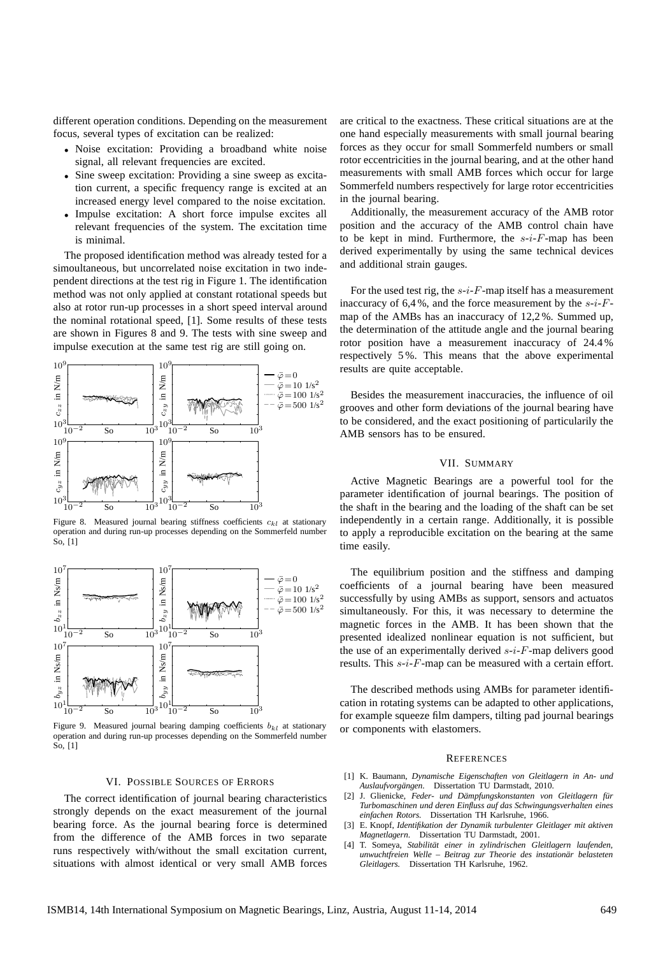different operation conditions. Depending on the measurement focus, several types of excitation can be realized:

- Noise excitation: Providing a broadband white noise signal, all relevant frequencies are excited.
- Sine sweep excitation: Providing a sine sweep as excitation current, a specific frequency range is excited at an increased energy level compared to the noise excitation.
- Impulse excitation: A short force impulse excites all relevant frequencies of the system. The excitation time is minimal.

The proposed identification method was already tested for a simoultaneous, but uncorrelated noise excitation in two independent directions at the test rig in Figure 1. The identification method was not only applied at constant rotational speeds but also at rotor run-up processes in a short speed interval around the nominal rotational speed, [1]. Some results of these tests are shown in Figures 8 and 9. The tests with sine sweep and impulse execution at the same test rig are still going on.



Figure 8. Measured journal bearing stiffness coefficients  $c_{kl}$  at stationary operation and during run-up processes depending on the Sommerfeld number So, [1]



Figure 9. Measured journal bearing damping coefficients  $b_{kl}$  at stationary operation and during run-up processes depending on the Sommerfeld number So, [1]

# VI. POSSIBLE SOURCES OF ERRORS

The correct identification of journal bearing characteristics strongly depends on the exact measurement of the journal bearing force. As the journal bearing force is determined from the difference of the AMB forces in two separate runs respectively with/without the small excitation current, situations with almost identical or very small AMB forces are critical to the exactness. These critical situations are at the one hand especially measurements with small journal bearing forces as they occur for small Sommerfeld numbers or small rotor eccentricities in the journal bearing, and at the other hand measurements with small AMB forces which occur for large Sommerfeld numbers respectively for large rotor eccentricities in the journal bearing.

Additionally, the measurement accuracy of the AMB rotor position and the accuracy of the AMB control chain have to be kept in mind. Furthermore, the  $s-i-F$ -map has been derived experimentally by using the same technical devices and additional strain gauges.

For the used test rig, the  $s-i-F$ -map itself has a measurement inaccuracy of  $6,4%$ , and the force measurement by the  $s-i-F$ map of the AMBs has an inaccuracy of 12,2 %. Summed up, the determination of the attitude angle and the journal bearing rotor position have a measurement inaccuracy of 24.4 % respectively 5 %. This means that the above experimental results are quite acceptable.

Besides the measurement inaccuracies, the influence of oil grooves and other form deviations of the journal bearing have to be considered, and the exact positioning of particularily the AMB sensors has to be ensured.

#### VII. SUMMARY

Active Magnetic Bearings are a powerful tool for the parameter identification of journal bearings. The position of the shaft in the bearing and the loading of the shaft can be set independently in a certain range. Additionally, it is possible to apply a reproducible excitation on the bearing at the same time easily.

The equilibrium position and the stiffness and damping coefficients of a journal bearing have been measured successfully by using AMBs as support, sensors and actuatos simultaneously. For this, it was necessary to determine the magnetic forces in the AMB. It has been shown that the presented idealized nonlinear equation is not sufficient, but the use of an experimentally derived  $s-i-F$ -map delivers good results. This  $s-i-F$ -map can be measured with a certain effort.

The described methods using AMBs for parameter identification in rotating systems can be adapted to other applications, for example squeeze film dampers, tilting pad journal bearings or components with elastomers.

#### **REFERENCES**

- [1] K. Baumann, *Dynamische Eigenschaften von Gleitlagern in An- und Auslaufvorgängen*. Dissertation TU Darmstadt, 2010.
- [2] J. Glienicke, *Feder- und Dämpfungskonstanten von Gleitlagern für Turbomaschinen und deren Einfluss auf das Schwingungsverhalten eines einfachen Rotors.* Dissertation TH Karlsruhe, 1966.
- [3] E. Knopf, *Identifikation der Dynamik turbulenter Gleitlager mit aktiven Magnetlagern*. Dissertation TU Darmstadt, 2001.
- [4] T. Someya, *Stabilität einer in zylindrischen Gleitlagern laufenden, unwuchtfreien Welle – Beitrag zur Theorie des instationär belasteten Gleitlagers.* Dissertation TH Karlsruhe, 1962.